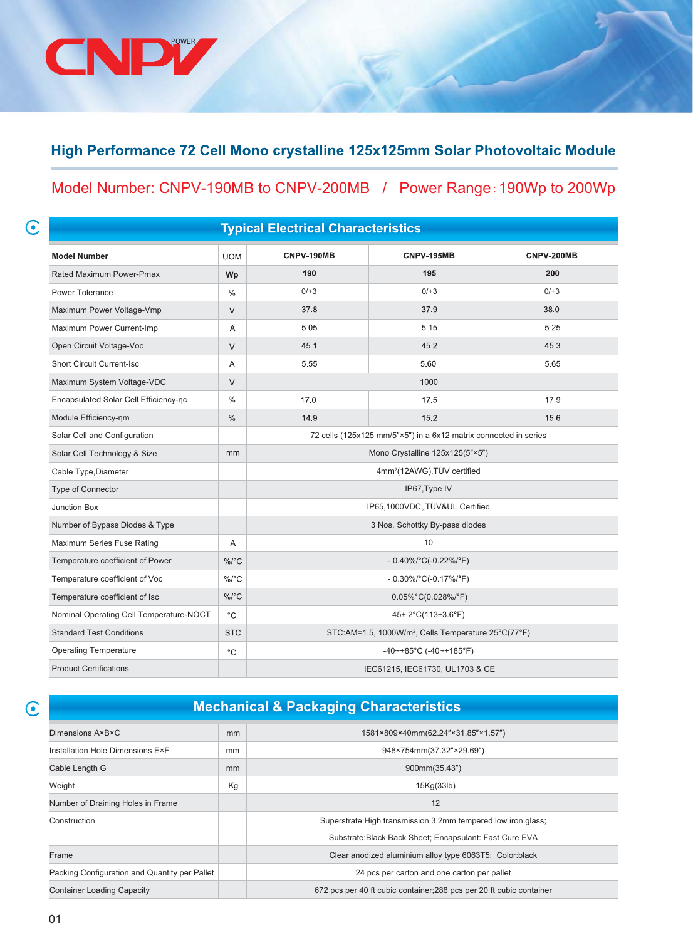## High Performance 72 Cell Mono crystalline 125x125mm Solar Photovoltaic Module

## Model Number: CNPV-190MB to CNPV-200MB / Power Range:190Wp to 200Wp

| ۳<br>. .<br>v<br>٥ |  |
|--------------------|--|
|                    |  |
|                    |  |
| ٩                  |  |
|                    |  |

CNDL

| <b>Typical Electrical Characteristics</b> |               |            |                                                                  |            |  |
|-------------------------------------------|---------------|------------|------------------------------------------------------------------|------------|--|
| <b>Model Number</b>                       | <b>UOM</b>    | CNPV-190MB | <b>CNPV-195MB</b>                                                | CNPV-200MB |  |
| Rated Maximum Power-Pmax                  | Wp            | 190        | 195                                                              | 200        |  |
| Power Tolerance                           | $\%$          | $0/ + 3$   | $0/ + 3$                                                         | $0/ + 3$   |  |
| Maximum Power Voltage-Vmp                 | $\vee$        | 37.8       | 37.9                                                             | 38.0       |  |
| Maximum Power Current-Imp                 | A             | 5.05       | 5.15                                                             | 5.25       |  |
| Open Circuit Voltage-Voc                  | $\vee$        | 45.1       | 45.2                                                             | 45.3       |  |
| <b>Short Circuit Current-Isc</b>          | A             | 5.55       | 5.60                                                             | 5.65       |  |
| Maximum System Voltage-VDC                | V             |            | 1000                                                             |            |  |
| Encapsulated Solar Cell Efficiency-nc     | $\%$          | 17.0       | 17.5                                                             | 17.9       |  |
| Module Efficiency-nm                      | $\frac{0}{0}$ | 14.9       | 15.2                                                             | 15.6       |  |
| Solar Cell and Configuration              |               |            | 72 cells (125x125 mm/5"×5") in a 6x12 matrix connected in series |            |  |
| Solar Cell Technology & Size              | mm            |            | Mono Crystalline 125x125(5"×5")                                  |            |  |
| Cable Type, Diameter                      |               |            | 4mm <sup>2</sup> (12AWG), TÜV certified                          |            |  |
| Type of Connector                         |               |            | IP67, Type IV                                                    |            |  |
| <b>Junction Box</b>                       |               |            | IP65,1000VDC, TÜV&UL Certified                                   |            |  |
| Number of Bypass Diodes & Type            |               |            | 3 Nos, Schottky By-pass diodes                                   |            |  |
| Maximum Series Fuse Rating                | Α             |            | 10                                                               |            |  |
| Temperature coefficient of Power          | $\%$ /°C      |            | $-0.40\%$ /°C(-0.22%/°F)                                         |            |  |
| Temperature coefficient of Voc            | $\%$ /°C      |            | $-0.30\%/°C(-0.17\%/°F)$                                         |            |  |
| Temperature coefficient of Isc            | $\%$ /°C      |            | $0.05\%$ °C(0.028%/°F)                                           |            |  |
| Nominal Operating Cell Temperature-NOCT   | $^{\circ}$ C  |            | 45± 2°C(113±3.6°F)                                               |            |  |
| <b>Standard Test Conditions</b>           | <b>STC</b>    |            | STC:AM=1.5, 1000W/m <sup>2</sup> , Cells Temperature 25°C(77°F)  |            |  |
| <b>Operating Temperature</b>              | $^{\circ}$ C  |            | $-40$ ~+85°C (-40~+185°F)                                        |            |  |
| <b>Product Certifications</b>             |               |            | IEC61215, IEC61730, UL1703 & CE                                  |            |  |

 $\odot$ 

## **Mechanical & Packaging Characteristics**

| Dimensions A×B×C                              | mm | 1581×809×40mm(62.24"×31.85"×1.57")                                   |
|-----------------------------------------------|----|----------------------------------------------------------------------|
| Installation Hole Dimensions ExF              | mm | 948×754mm(37.32"×29.69")                                             |
| Cable Length G                                | mm | 900mm(35.43")                                                        |
| Weight                                        | Kg | 15Kq(33lb)                                                           |
| Number of Draining Holes in Frame             |    | 12                                                                   |
| Construction                                  |    | Superstrate: High transmission 3.2mm tempered low iron glass;        |
|                                               |    | Substrate: Black Back Sheet; Encapsulant: Fast Cure EVA              |
| Frame                                         |    | Clear anodized aluminium alloy type 6063T5; Color:black              |
| Packing Configuration and Quantity per Pallet |    | 24 pcs per carton and one carton per pallet                          |
| <b>Container Loading Capacity</b>             |    | 672 pcs per 40 ft cubic container; 288 pcs per 20 ft cubic container |